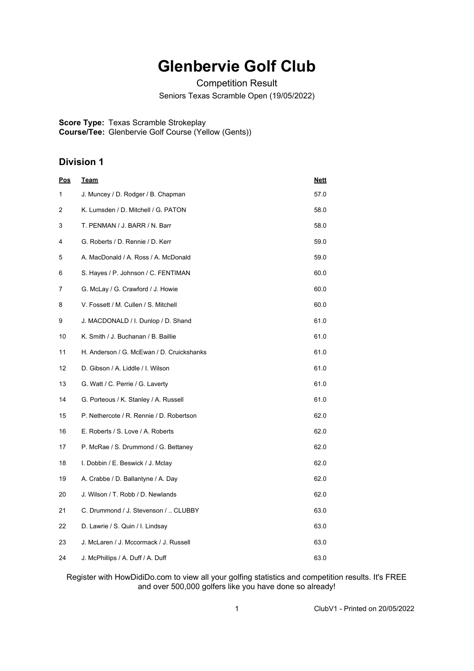## **Glenbervie Golf Club**

Competition Result

Seniors Texas Scramble Open (19/05/2022)

**Score Type:** Texas Scramble Strokeplay

**Course/Tee:** Glenbervie Golf Course (Yellow (Gents))

## **Division 1**

| <u>Pos</u> | <u>Team</u>                               | <u>Nett</u> |
|------------|-------------------------------------------|-------------|
| 1          | J. Muncey / D. Rodger / B. Chapman        | 57.0        |
| 2          | K. Lumsden / D. Mitchell / G. PATON       | 58.0        |
| 3          | T. PENMAN / J. BARR / N. Barr             | 58.0        |
| 4          | G. Roberts / D. Rennie / D. Kerr          | 59.0        |
| 5          | A. MacDonald / A. Ross / A. McDonald      | 59.0        |
| 6          | S. Hayes / P. Johnson / C. FENTIMAN       | 60.0        |
| 7          | G. McLay / G. Crawford / J. Howie         | 60.0        |
| 8          | V. Fossett / M. Cullen / S. Mitchell      | 60.0        |
| 9          | J. MACDONALD / I. Dunlop / D. Shand       | 61.0        |
| 10         | K. Smith / J. Buchanan / B. Baillie       | 61.0        |
| 11         | H. Anderson / G. McEwan / D. Cruickshanks | 61.0        |
| 12         | D. Gibson / A. Liddle / I. Wilson         | 61.0        |
| 13         | G. Watt / C. Perrie / G. Laverty          | 61.0        |
| 14         | G. Porteous / K. Stanley / A. Russell     | 61.0        |
| 15         | P. Nethercote / R. Rennie / D. Robertson  | 62.0        |
| 16         | E. Roberts / S. Love / A. Roberts         | 62.0        |
| 17         | P. McRae / S. Drummond / G. Bettaney      | 62.0        |
| 18         | I. Dobbin / E. Beswick / J. Mclay         | 62.0        |
| 19         | A. Crabbe / D. Ballantyne / A. Day        | 62.0        |
| 20         | J. Wilson / T. Robb / D. Newlands         | 62.0        |
| 21         | C. Drummond / J. Stevenson /  CLUBBY      | 63.0        |
| 22         | D. Lawrie / S. Quin / I. Lindsay          | 63.0        |
| 23         | J. McLaren / J. Mccormack / J. Russell    | 63.0        |
| 24         | J. McPhillips / A. Duff / A. Duff         | 63.0        |

Register with HowDidiDo.com to view all your golfing statistics and competition results. It's FREE and over 500,000 golfers like you have done so already!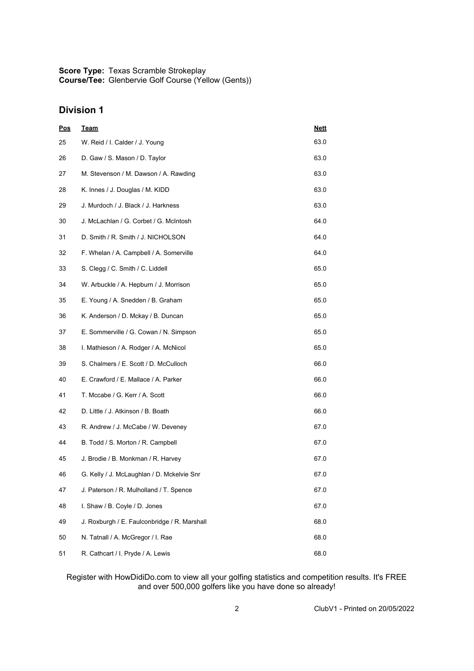**Score Type:** Texas Scramble Strokeplay **Course/Tee:** Glenbervie Golf Course (Yellow (Gents))

## **Division 1**

| <u>Pos</u> | <u>Team</u>                                  | <b>Nett</b> |
|------------|----------------------------------------------|-------------|
| 25         | W. Reid / I. Calder / J. Young               | 63.0        |
| 26         | D. Gaw / S. Mason / D. Taylor                | 63.0        |
| 27         | M. Stevenson / M. Dawson / A. Rawding        | 63.0        |
| 28         | K. Innes / J. Douglas / M. KIDD              | 63.0        |
| 29         | J. Murdoch / J. Black / J. Harkness          | 63.0        |
| 30         | J. McLachlan / G. Corbet / G. McIntosh       | 64.0        |
| 31         | D. Smith / R. Smith / J. NICHOLSON           | 64.0        |
| 32         | F. Whelan / A. Campbell / A. Somerville      | 64.0        |
| 33         | S. Clegg / C. Smith / C. Liddell             | 65.0        |
| 34         | W. Arbuckle / A. Hepburn / J. Morrison       | 65.0        |
| 35         | E. Young / A. Snedden / B. Graham            | 65.0        |
| 36         | K. Anderson / D. Mckay / B. Duncan           | 65.0        |
| 37         | E. Sommerville / G. Cowan / N. Simpson       | 65.0        |
| 38         | I. Mathieson / A. Rodger / A. McNicol        | 65.0        |
| 39         | S. Chalmers / E. Scott / D. McCulloch        | 66.0        |
| 40         | E. Crawford / E. Mallace / A. Parker         | 66.0        |
| 41         | T. Mccabe / G. Kerr / A. Scott               | 66.0        |
| 42         | D. Little / J. Atkinson / B. Boath           | 66.0        |
| 43         | R. Andrew / J. McCabe / W. Deveney           | 67.0        |
| 44         | B. Todd / S. Morton / R. Campbell            | 67.0        |
| 45         | J. Brodie / B. Monkman / R. Harvey           | 67.0        |
| 46         | G. Kelly / J. McLaughlan / D. Mckelvie Snr   | 67.0        |
| 47         | J. Paterson / R. Mulholland / T. Spence      | 67.0        |
| 48         | I. Shaw / B. Coyle / D. Jones                | 67.0        |
| 49         | J. Roxburgh / E. Faulconbridge / R. Marshall | 68.0        |
| 50         | N. Tatnall / A. McGregor / I. Rae            | 68.0        |
| 51         | R. Cathcart / I. Pryde / A. Lewis            | 68.0        |

Register with HowDidiDo.com to view all your golfing statistics and competition results. It's FREE and over 500,000 golfers like you have done so already!